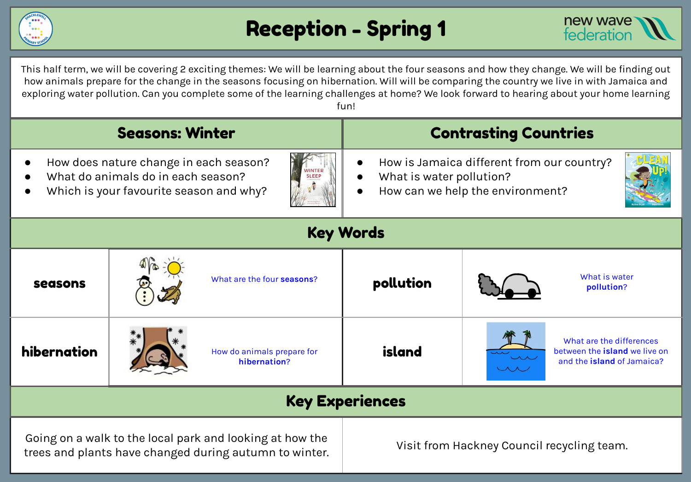

# Reception - Spring 1



This half term, we will be covering 2 exciting themes: We will be learning about the four seasons and how they change. We will be finding out how animals prepare for the change in the seasons focusing on hibernation. Will will be comparing the country we live in with Jamaica and exploring water pollution. Can you complete some of the learning challenges at home? We look forward to hearing about your home learning fun!

| <b>Seasons: Winter</b>                                                                                                                                   |  |                                            | <b>Contrasting Countries</b>                                                                               |                                                                                                |
|----------------------------------------------------------------------------------------------------------------------------------------------------------|--|--------------------------------------------|------------------------------------------------------------------------------------------------------------|------------------------------------------------------------------------------------------------|
| How does nature change in each season?<br><b>NINTER</b><br>What do animals do in each season?<br><b>SLEEP</b><br>Which is your favourite season and why? |  |                                            | How is Jamaica different from our country?<br>What is water pollution?<br>How can we help the environment? |                                                                                                |
| <b>Key Words</b>                                                                                                                                         |  |                                            |                                                                                                            |                                                                                                |
| seasons                                                                                                                                                  |  | What are the four seasons?                 | pollution                                                                                                  | What is water<br>pollution?                                                                    |
| hibernation                                                                                                                                              |  | How do animals prepare for<br>hibernation? | island                                                                                                     | What are the differences<br>between the <i>island</i> we live on<br>and the island of Jamaica? |
| <b>Key Experiences</b>                                                                                                                                   |  |                                            |                                                                                                            |                                                                                                |
| Going on a walk to the local park and looking at how the<br>trees and plants have changed during autumn to winter.                                       |  |                                            | Visit from Hackney Council recycling team.                                                                 |                                                                                                |